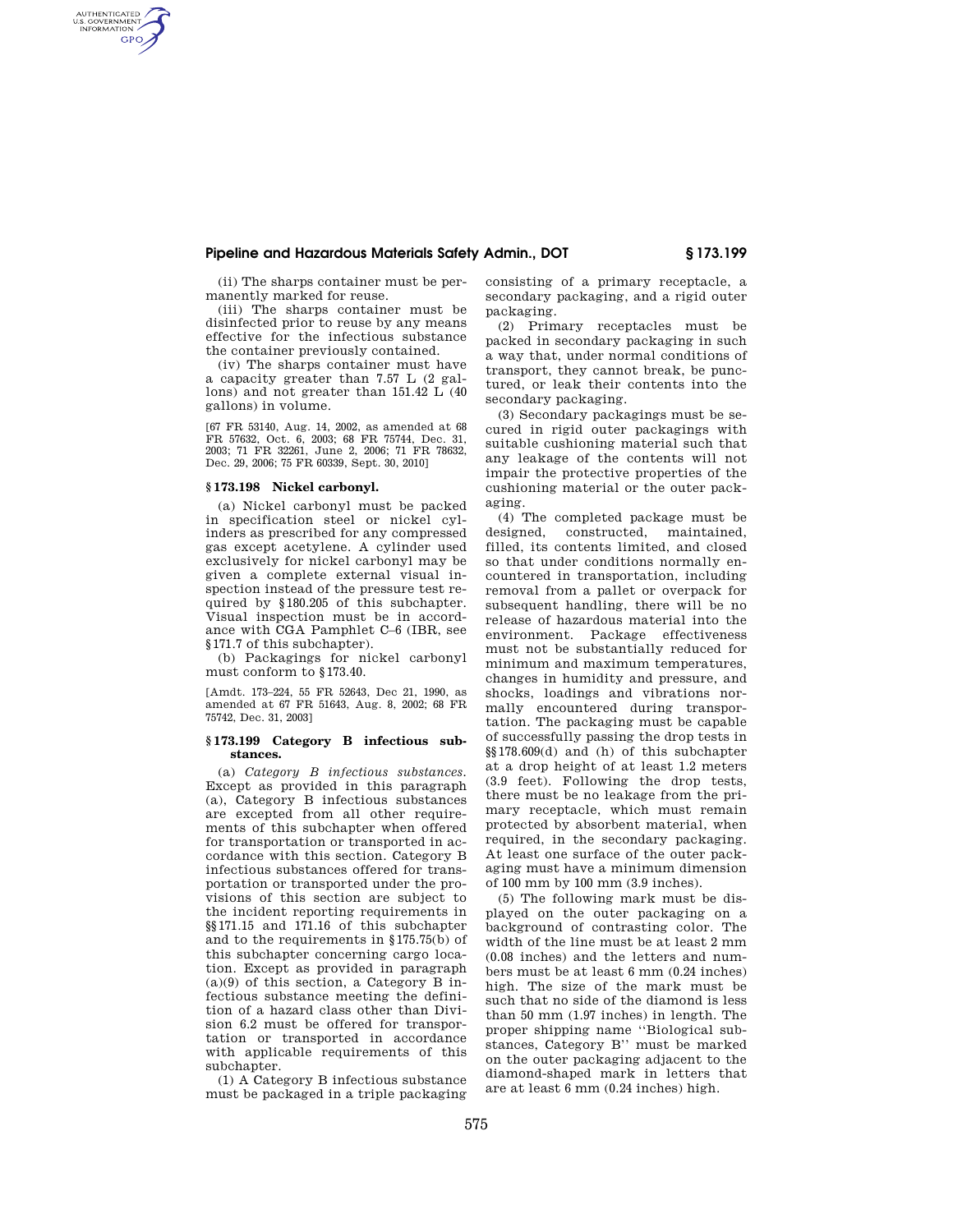## **Pipeline and Hazardous Materials Safety Admin., DOT § 173.199**

(ii) The sharps container must be permanently marked for reuse.

(iii) The sharps container must be disinfected prior to reuse by any means effective for the infectious substance the container previously contained.

(iv) The sharps container must have a capacity greater than 7.57 L (2 gallons) and not greater than 151.42 L (40 gallons) in volume.

[67 FR 53140, Aug. 14, 2002, as amended at 68 FR 57632, Oct. 6, 2003; 68 FR 75744, Dec. 31, 2003; 71 FR 32261, June 2, 2006; 71 FR 78632, Dec. 29, 2006; 75 FR 60339, Sept. 30, 2010]

### **§ 173.198 Nickel carbonyl.**

AUTHENTICATED<br>U.S. GOVERNMENT<br>INFORMATION **GPO** 

> (a) Nickel carbonyl must be packed in specification steel or nickel cylinders as prescribed for any compressed gas except acetylene. A cylinder used exclusively for nickel carbonyl may be given a complete external visual inspection instead of the pressure test required by §180.205 of this subchapter. Visual inspection must be in accordance with CGA Pamphlet C–6 (IBR, see §171.7 of this subchapter).

(b) Packagings for nickel carbonyl must conform to §173.40.

[Amdt. 173–224, 55 FR 52643, Dec 21, 1990, as amended at 67 FR 51643, Aug. 8, 2002; 68 FR 75742, Dec. 31, 2003]

### **§ 173.199 Category B infectious substances.**

(a) *Category B infectious substances.*  Except as provided in this paragraph (a), Category B infectious substances are excepted from all other requirements of this subchapter when offered for transportation or transported in accordance with this section. Category B infectious substances offered for transportation or transported under the provisions of this section are subject to the incident reporting requirements in §§171.15 and 171.16 of this subchapter and to the requirements in §175.75(b) of this subchapter concerning cargo location. Except as provided in paragraph  $(a)(9)$  of this section, a Category B infectious substance meeting the definition of a hazard class other than Division 6.2 must be offered for transportation or transported in accordance with applicable requirements of this subchapter.

(1) A Category B infectious substance must be packaged in a triple packaging consisting of a primary receptacle, a secondary packaging, and a rigid outer packaging.

(2) Primary receptacles must be packed in secondary packaging in such a way that, under normal conditions of transport, they cannot break, be punctured, or leak their contents into the secondary packaging.

(3) Secondary packagings must be secured in rigid outer packagings with suitable cushioning material such that any leakage of the contents will not impair the protective properties of the cushioning material or the outer packaging.

(4) The completed package must be designed, constructed, maintained, filled, its contents limited, and closed so that under conditions normally encountered in transportation, including removal from a pallet or overpack for subsequent handling, there will be no release of hazardous material into the environment. Package effectiveness must not be substantially reduced for minimum and maximum temperatures, changes in humidity and pressure, and shocks, loadings and vibrations normally encountered during transportation. The packaging must be capable of successfully passing the drop tests in §§178.609(d) and (h) of this subchapter at a drop height of at least 1.2 meters (3.9 feet). Following the drop tests, there must be no leakage from the primary receptacle, which must remain protected by absorbent material, when required, in the secondary packaging. At least one surface of the outer packaging must have a minimum dimension of 100 mm by 100 mm (3.9 inches).

(5) The following mark must be displayed on the outer packaging on a background of contrasting color. The width of the line must be at least 2 mm (0.08 inches) and the letters and numbers must be at least 6 mm (0.24 inches) high. The size of the mark must be such that no side of the diamond is less than 50 mm (1.97 inches) in length. The proper shipping name ''Biological substances, Category B'' must be marked on the outer packaging adjacent to the diamond-shaped mark in letters that are at least 6 mm (0.24 inches) high.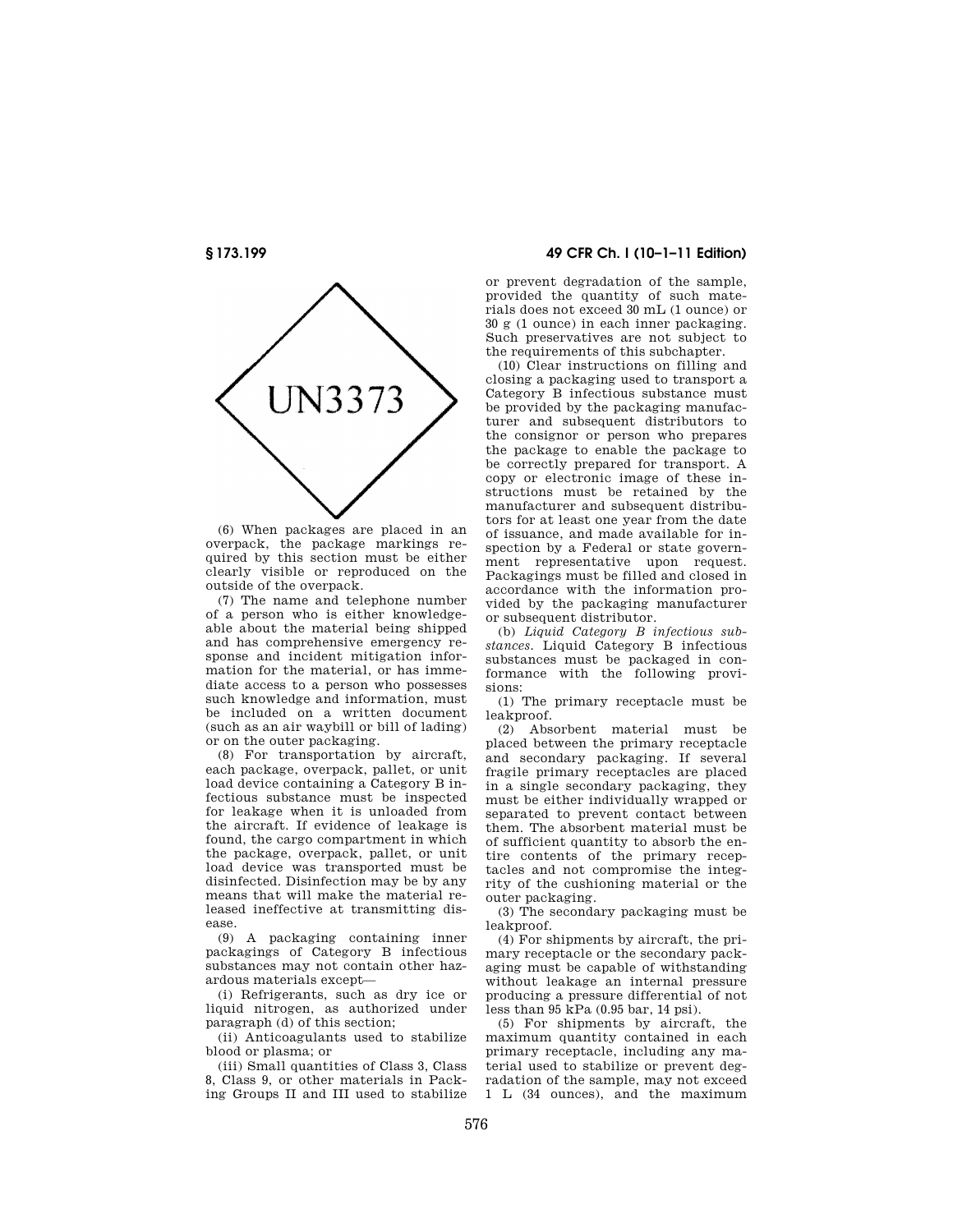

(6) When packages are placed in an overpack, the package markings required by this section must be either clearly visible or reproduced on the outside of the overpack.

(7) The name and telephone number of a person who is either knowledgeable about the material being shipped and has comprehensive emergency response and incident mitigation information for the material, or has immediate access to a person who possesses such knowledge and information, must be included on a written document (such as an air waybill or bill of lading) or on the outer packaging.

(8) For transportation by aircraft, each package, overpack, pallet, or unit load device containing a Category B infectious substance must be inspected for leakage when it is unloaded from the aircraft. If evidence of leakage is found, the cargo compartment in which the package, overpack, pallet, or unit load device was transported must be disinfected. Disinfection may be by any means that will make the material released ineffective at transmitting disease.

(9) A packaging containing inner packagings of Category B infectious substances may not contain other hazardous materials except—

(i) Refrigerants, such as dry ice or liquid nitrogen, as authorized under paragraph (d) of this section;

(ii) Anticoagulants used to stabilize blood or plasma; or

(iii) Small quantities of Class 3, Class 8, Class 9, or other materials in Packing Groups II and III used to stabilize

# **§ 173.199 49 CFR Ch. I (10–1–11 Edition)**

or prevent degradation of the sample, provided the quantity of such materials does not exceed 30 mL (1 ounce) or 30 g (1 ounce) in each inner packaging. Such preservatives are not subject to the requirements of this subchapter.

(10) Clear instructions on filling and closing a packaging used to transport a Category B infectious substance must be provided by the packaging manufacturer and subsequent distributors to the consignor or person who prepares the package to enable the package to be correctly prepared for transport. A copy or electronic image of these instructions must be retained by the manufacturer and subsequent distributors for at least one year from the date of issuance, and made available for inspection by a Federal or state government representative upon request. Packagings must be filled and closed in accordance with the information provided by the packaging manufacturer or subsequent distributor.

(b) *Liquid Category B infectious substances.* Liquid Category B infectious substances must be packaged in conformance with the following provisions:

(1) The primary receptacle must be leakproof.

(2) Absorbent material must be placed between the primary receptacle and secondary packaging. If several fragile primary receptacles are placed in a single secondary packaging, they must be either individually wrapped or separated to prevent contact between them. The absorbent material must be of sufficient quantity to absorb the entire contents of the primary receptacles and not compromise the integrity of the cushioning material or the outer packaging.

(3) The secondary packaging must be leakproof.

(4) For shipments by aircraft, the primary receptacle or the secondary packaging must be capable of withstanding without leakage an internal pressure producing a pressure differential of not less than 95 kPa (0.95 bar, 14 psi).

(5) For shipments by aircraft, the maximum quantity contained in each primary receptacle, including any material used to stabilize or prevent degradation of the sample, may not exceed 1 L (34 ounces), and the maximum